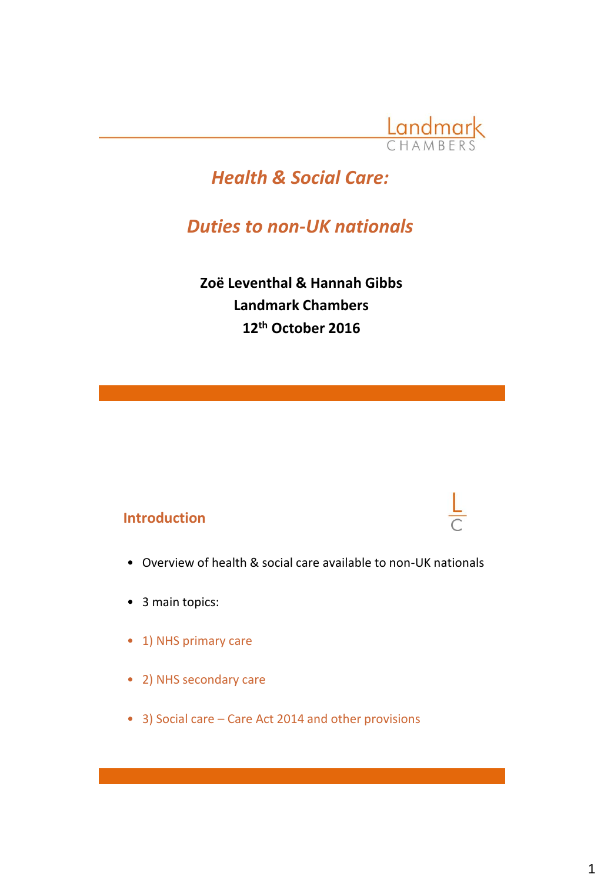

# *Health & Social Care:*

*Duties to non-UK nationals*

**Zoë Leventhal & Hannah Gibbs Landmark Chambers 12th October 2016**

### **Introduction**

- Overview of health & social care available to non-UK nationals
- 3 main topics:
- 1) NHS primary care
- 2) NHS secondary care
- 3) Social care Care Act 2014 and other provisions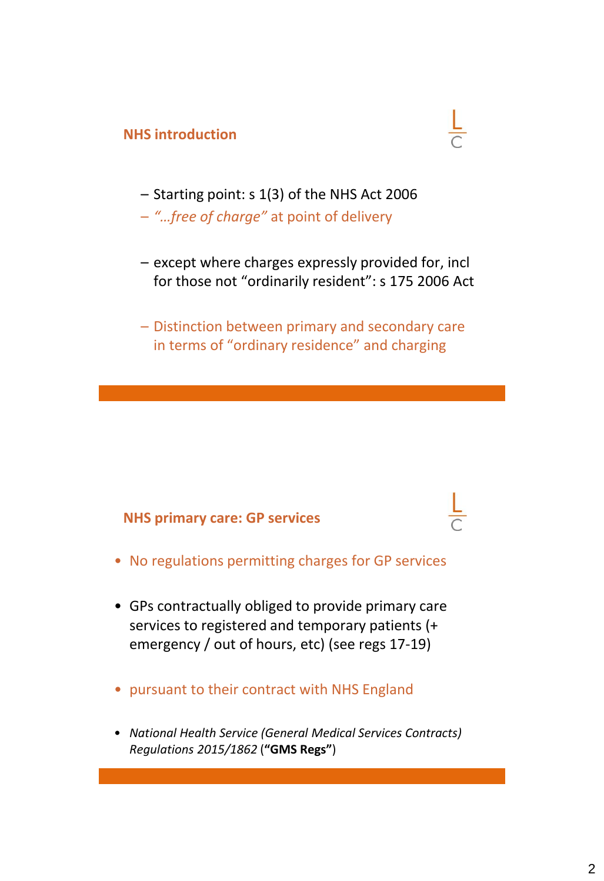### **NHS introduction**



- Starting point: s 1(3) of the NHS Act 2006
- *"…free of charge"* at point of delivery
- except where charges expressly provided for, incl for those not "ordinarily resident": s 175 2006 Act
- Distinction between primary and secondary care in terms of "ordinary residence" and charging

### **NHS primary care: GP services**

- No regulations permitting charges for GP services
- GPs contractually obliged to provide primary care services to registered and temporary patients (+ emergency / out of hours, etc) (see regs 17-19)
- pursuant to their contract with NHS England
- *National Health Service (General Medical Services Contracts) Regulations 2015/1862* (**"GMS Regs"**)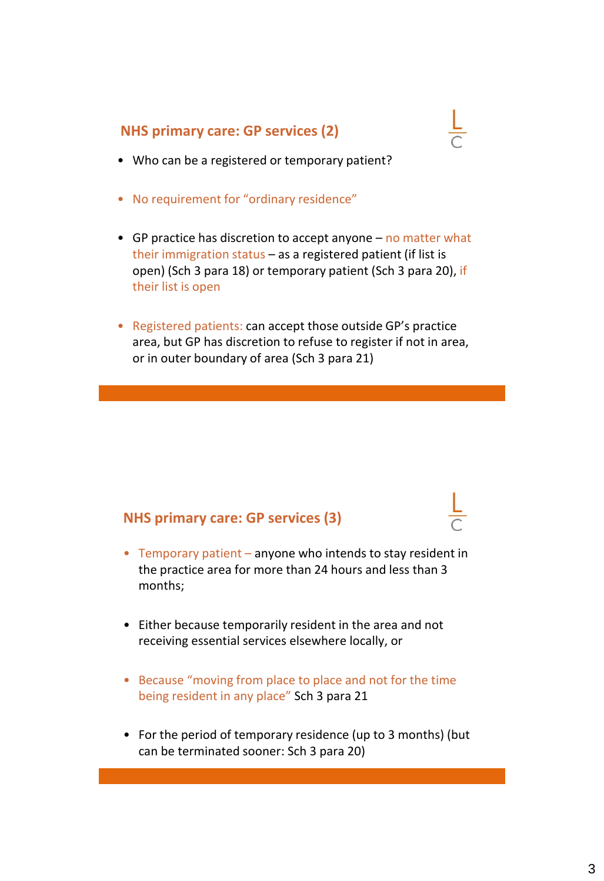### **NHS primary care: GP services (2)**

- Who can be a registered or temporary patient?
- No requirement for "ordinary residence"
- GP practice has discretion to accept anyone no matter what their immigration status – as a registered patient (if list is open) (Sch 3 para 18) or temporary patient (Sch 3 para 20), if their list is open
- Registered patients: can accept those outside GP's practice area, but GP has discretion to refuse to register if not in area, or in outer boundary of area (Sch 3 para 21)

### **NHS primary care: GP services (3)**

- Temporary patient anyone who intends to stay resident in the practice area for more than 24 hours and less than 3 months;
- Either because temporarily resident in the area and not receiving essential services elsewhere locally, or
- Because "moving from place to place and not for the time being resident in any place" Sch 3 para 21
- For the period of temporary residence (up to 3 months) (but can be terminated sooner: Sch 3 para 20)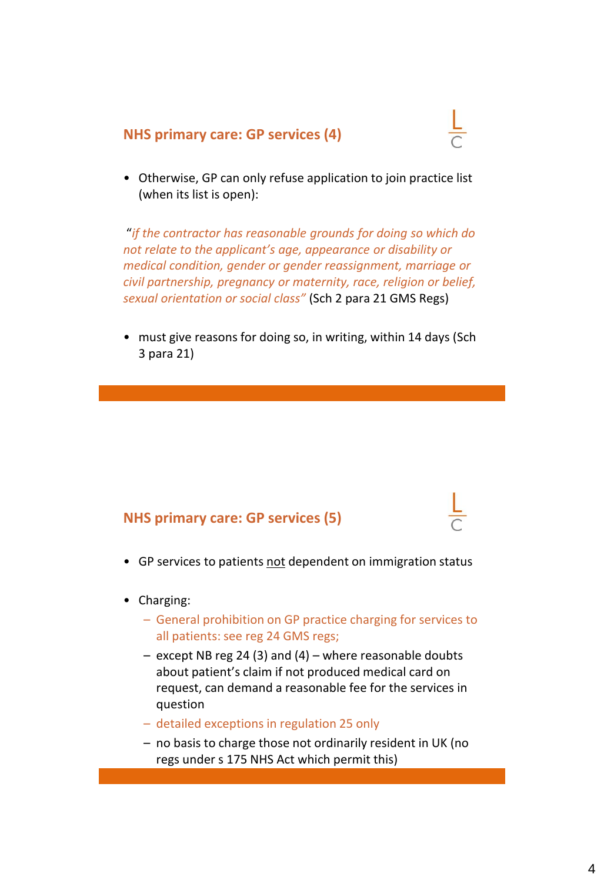### **NHS primary care: GP services (4)**



• Otherwise, GP can only refuse application to join practice list (when its list is open):

"*if the contractor has reasonable grounds for doing so which do not relate to the applicant's age, appearance or disability or medical condition, gender or gender reassignment, marriage or civil partnership, pregnancy or maternity, race, religion or belief, sexual orientation or social class"* (Sch 2 para 21 GMS Regs)

• must give reasons for doing so, in writing, within 14 days (Sch 3 para 21)

### **NHS primary care: GP services (5)**

- GP services to patients not dependent on immigration status
- Charging:
	- General prohibition on GP practice charging for services to all patients: see reg 24 GMS regs;
	- except NB reg 24 (3) and (4) where reasonable doubts about patient's claim if not produced medical card on request, can demand a reasonable fee for the services in question
	- detailed exceptions in regulation 25 only
	- no basis to charge those not ordinarily resident in UK (no regs under s 175 NHS Act which permit this)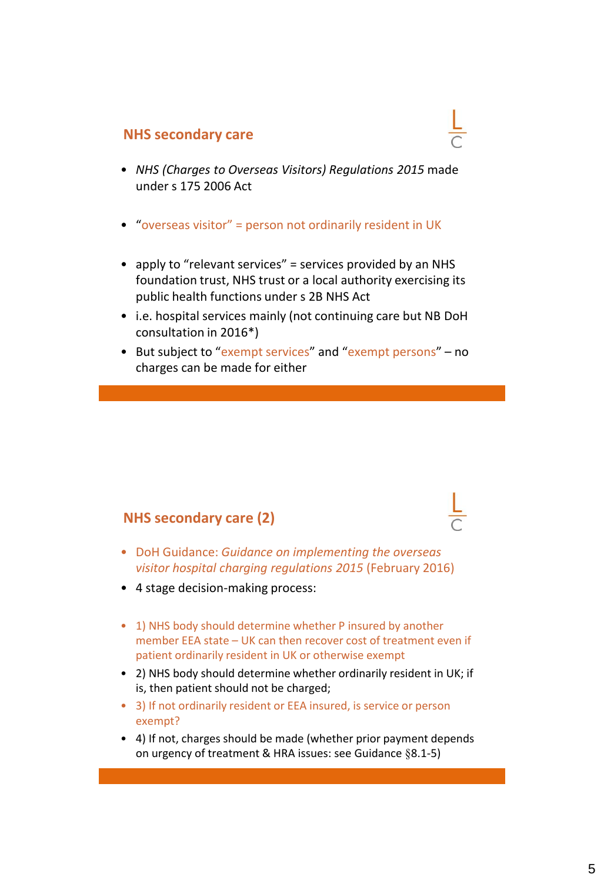#### **NHS secondary care**

- *NHS (Charges to Overseas Visitors) Regulations 2015* made under s 175 2006 Act
- "overseas visitor" = person not ordinarily resident in UK
- apply to "relevant services" = services provided by an NHS foundation trust, NHS trust or a local authority exercising its public health functions under s 2B NHS Act
- i.e. hospital services mainly (not continuing care but NB DoH consultation in 2016\*)
- But subject to "exempt services" and "exempt persons" no charges can be made for either

### **NHS secondary care (2)**

- DoH Guidance: *Guidance on implementing the overseas visitor hospital charging regulations 2015* (February 2016)
- 4 stage decision-making process:
- 1) NHS body should determine whether P insured by another member EEA state – UK can then recover cost of treatment even if patient ordinarily resident in UK or otherwise exempt
- 2) NHS body should determine whether ordinarily resident in UK; if is, then patient should not be charged;
- 3) If not ordinarily resident or EEA insured, is service or person exempt?
- 4) If not, charges should be made (whether prior payment depends on urgency of treatment & HRA issues: see Guidance §8.1-5)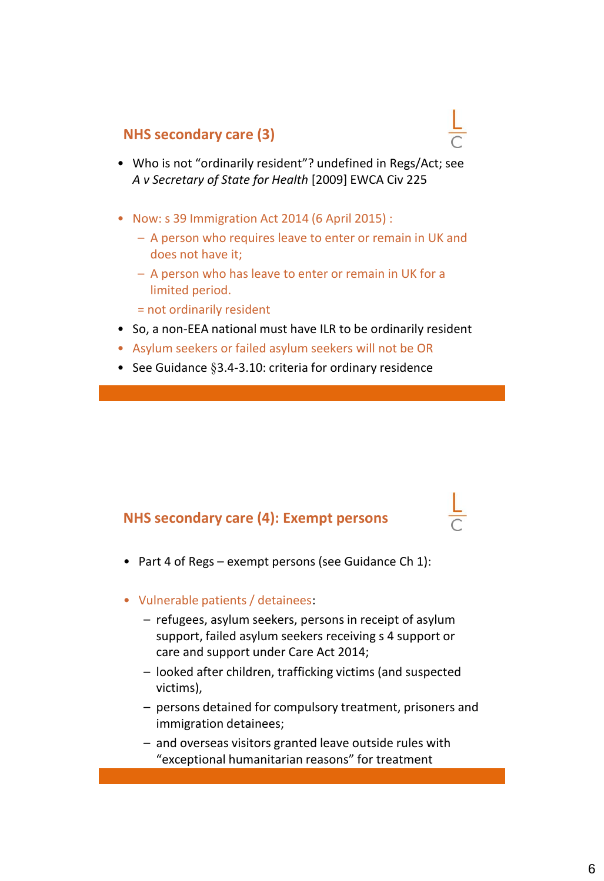### **NHS secondary care (3)**

- Who is not "ordinarily resident"? undefined in Regs/Act; see *A v Secretary of State for Health* [2009] EWCA Civ 225
- Now: s 39 Immigration Act 2014 (6 April 2015) :
	- A person who requires leave to enter or remain in UK and does not have it;
	- A person who has leave to enter or remain in UK for a limited period.
	- = not ordinarily resident
- So, a non-EEA national must have ILR to be ordinarily resident
- Asylum seekers or failed asylum seekers will not be OR
- See Guidance §3.4-3.10: criteria for ordinary residence

### **NHS secondary care (4): Exempt persons**

- Part 4 of Regs exempt persons (see Guidance Ch 1):
- Vulnerable patients / detainees:
	- refugees, asylum seekers, persons in receipt of asylum support, failed asylum seekers receiving s 4 support or care and support under Care Act 2014;
	- looked after children, trafficking victims (and suspected victims),
	- persons detained for compulsory treatment, prisoners and immigration detainees;
	- and overseas visitors granted leave outside rules with "exceptional humanitarian reasons" for treatment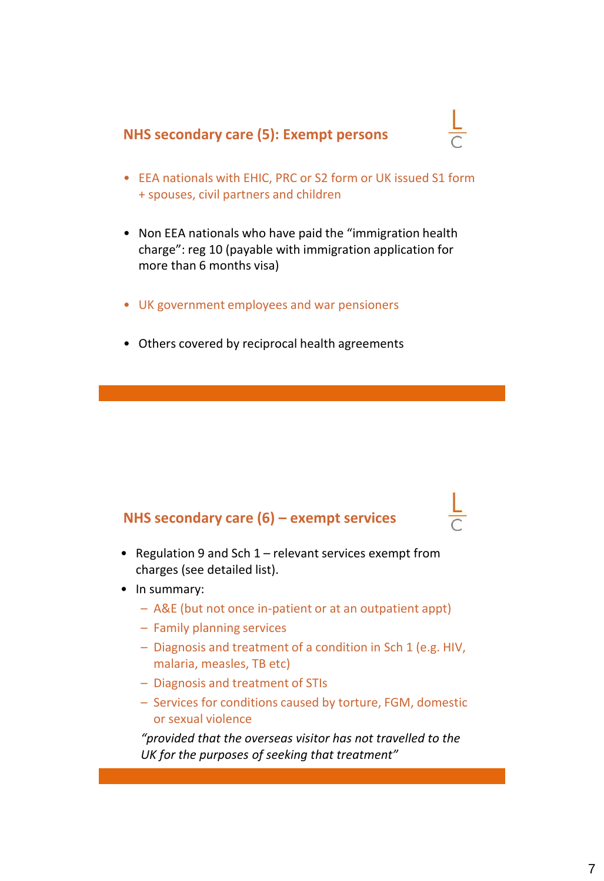## **NHS secondary care (5): Exempt persons**



- EEA nationals with EHIC, PRC or S2 form or UK issued S1 form + spouses, civil partners and children
- Non EEA nationals who have paid the "immigration health charge": reg 10 (payable with immigration application for more than 6 months visa)
- UK government employees and war pensioners
- Others covered by reciprocal health agreements

### **NHS secondary care (6) – exempt services**

- Regulation 9 and Sch 1 relevant services exempt from charges (see detailed list).
- In summary:
	- A&E (but not once in-patient or at an outpatient appt)
	- Family planning services
	- Diagnosis and treatment of a condition in Sch 1 (e.g. HIV, malaria, measles, TB etc)
	- Diagnosis and treatment of STIs
	- Services for conditions caused by torture, FGM, domestic or sexual violence

*"provided that the overseas visitor has not travelled to the UK for the purposes of seeking that treatment"*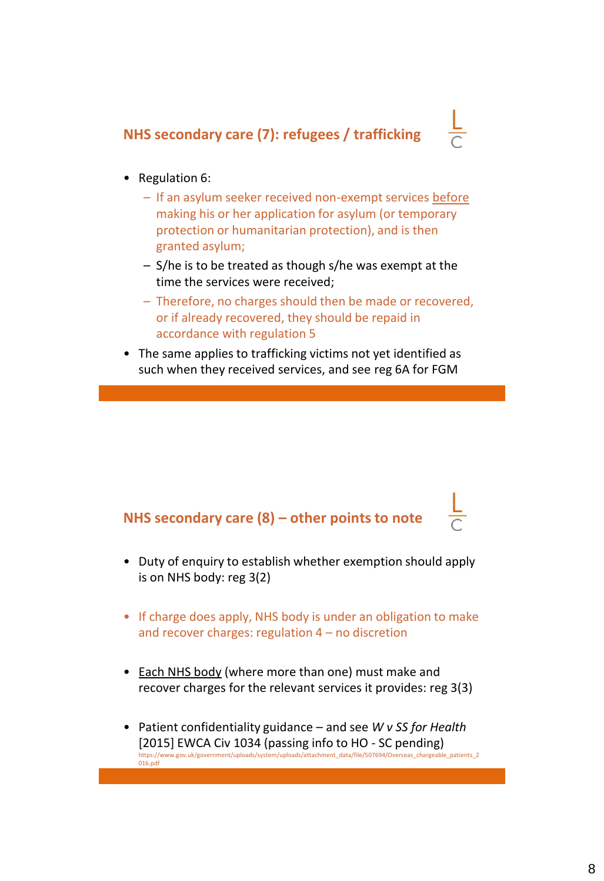# **NHS secondary care (7): refugees / trafficking**



• Regulation 6:

 $016 \text{ nd}$ 

- If an asylum seeker received non-exempt services before making his or her application for asylum (or temporary protection or humanitarian protection), and is then granted asylum;
- S/he is to be treated as though s/he was exempt at the time the services were received;
- Therefore, no charges should then be made or recovered, or if already recovered, they should be repaid in accordance with regulation 5
- The same applies to trafficking victims not yet identified as such when they received services, and see reg 6A for FGM

# **NHS secondary care (8) – other points to note**

- Duty of enquiry to establish whether exemption should apply is on NHS body: reg 3(2)
- If charge does apply, NHS body is under an obligation to make and recover charges: regulation 4 – no discretion
- Each NHS body (where more than one) must make and recover charges for the relevant services it provides: reg 3(3)
- Patient confidentiality guidance and see *W v SS for Health*  [2015] EWCA Civ 1034 (passing info to HO - SC pending)<br>https://www.gov.uk/government/uploads/system/uploads/attachment\_data/file/507694/Overseas\_chargeable e/507694/Overseas chargeable patients 2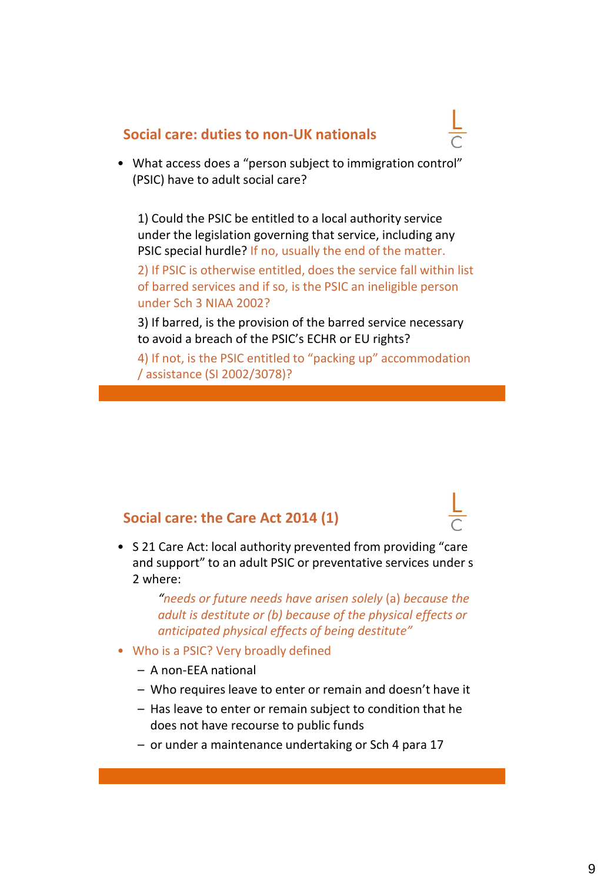#### **Social care: duties to non-UK nationals**



• What access does a "person subject to immigration control" (PSIC) have to adult social care?

1) Could the PSIC be entitled to a local authority service under the legislation governing that service, including any PSIC special hurdle? If no, usually the end of the matter.

2) If PSIC is otherwise entitled, does the service fall within list of barred services and if so, is the PSIC an ineligible person under Sch 3 NIAA 2002?

3) If barred, is the provision of the barred service necessary to avoid a breach of the PSIC's ECHR or EU rights?

4) If not, is the PSIC entitled to "packing up" accommodation / assistance (SI 2002/3078)?

### **Social care: the Care Act 2014 (1)**

• S 21 Care Act: local authority prevented from providing "care and support" to an adult PSIC or preventative services under s 2 where:

> *"needs or future needs have arisen solely* (a) *because the adult is destitute or (b) because of the physical effects or anticipated physical effects of being destitute"*

- Who is a PSIC? Very broadly defined
	- A non-EEA national
	- Who requires leave to enter or remain and doesn't have it
	- Has leave to enter or remain subject to condition that he does not have recourse to public funds
	- or under a maintenance undertaking or Sch 4 para 17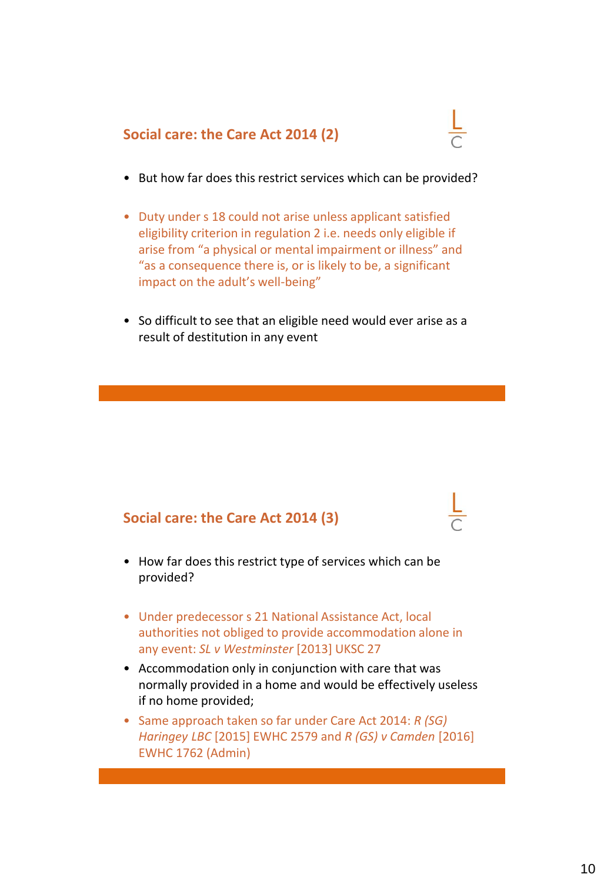### **Social care: the Care Act 2014 (2)**



- But how far does this restrict services which can be provided?
- Duty under s 18 could not arise unless applicant satisfied eligibility criterion in regulation 2 i.e. needs only eligible if arise from "a physical or mental impairment or illness" and "as a consequence there is, or is likely to be, a significant impact on the adult's well-being"
- So difficult to see that an eligible need would ever arise as a result of destitution in any event

### **Social care: the Care Act 2014 (3)**

- How far does this restrict type of services which can be provided?
- Under predecessor s 21 National Assistance Act, local authorities not obliged to provide accommodation alone in any event: *SL v Westminster* [2013] UKSC 27
- Accommodation only in conjunction with care that was normally provided in a home and would be effectively useless if no home provided;
- Same approach taken so far under Care Act 2014: *R (SG) Haringey LBC* [2015] EWHC 2579 and *R (GS) v Camden* [2016] EWHC 1762 (Admin)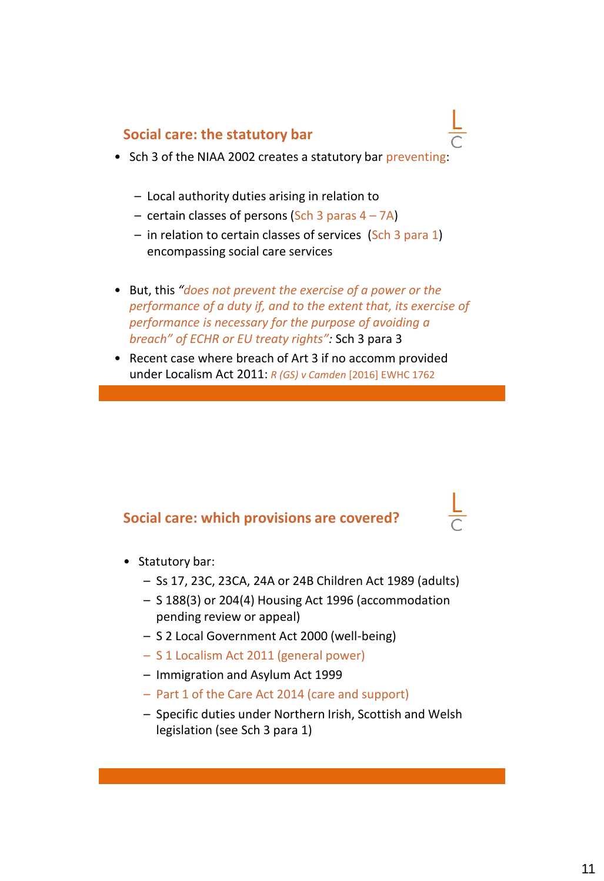### **Social care: the statutory bar**

- Sch 3 of the NIAA 2002 creates a statutory bar preventing:
	- Local authority duties arising in relation to
	- certain classes of persons (Sch 3 paras  $4 7A$ )
	- in relation to certain classes of services (Sch 3 para 1) encompassing social care services
- But, this *"does not prevent the exercise of a power or the performance of a duty if, and to the extent that, its exercise of performance is necessary for the purpose of avoiding a breach" of ECHR or EU treaty rights":* Sch 3 para 3
- Recent case where breach of Art 3 if no accomm provided under Localism Act 2011: *R (GS) v Camden* [2016] EWHC 1762

### **Social care: which provisions are covered?**

- Statutory bar:
	- Ss 17, 23C, 23CA, 24A or 24B Children Act 1989 (adults)
	- S 188(3) or 204(4) Housing Act 1996 (accommodation pending review or appeal)
	- S 2 Local Government Act 2000 (well-being)
	- S 1 Localism Act 2011 (general power)
	- Immigration and Asylum Act 1999
	- Part 1 of the Care Act 2014 (care and support)
	- Specific duties under Northern Irish, Scottish and Welsh legislation (see Sch 3 para 1)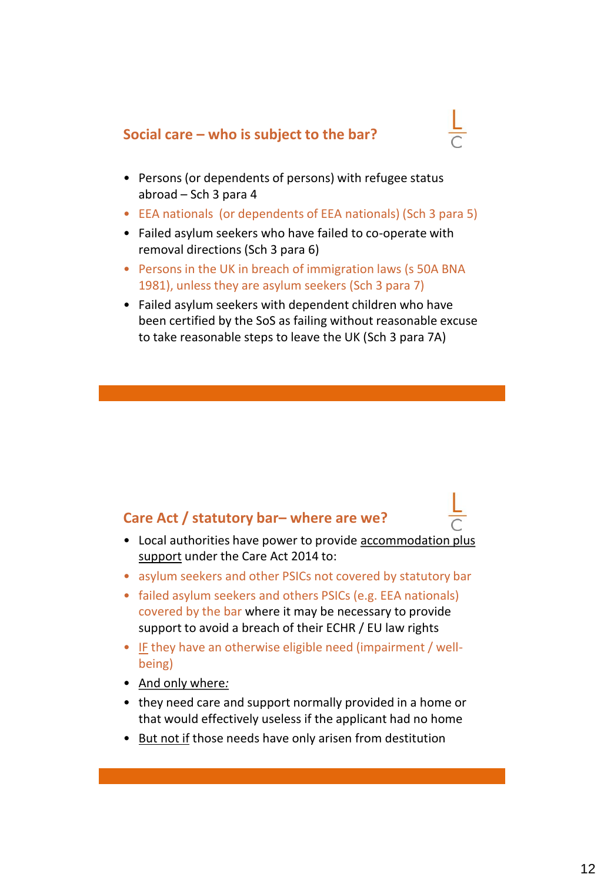### **Social care – who is subject to the bar?**



- Persons (or dependents of persons) with refugee status abroad – Sch 3 para 4
- EEA nationals (or dependents of EEA nationals) (Sch 3 para 5)
- Failed asylum seekers who have failed to co-operate with removal directions (Sch 3 para 6)
- Persons in the UK in breach of immigration laws (s 50A BNA 1981), unless they are asylum seekers (Sch 3 para 7)
- Failed asylum seekers with dependent children who have been certified by the SoS as failing without reasonable excuse to take reasonable steps to leave the UK (Sch 3 para 7A)

### **Care Act / statutory bar– where are we?**



- Local authorities have power to provide accommodation plus support under the Care Act 2014 to:
- asylum seekers and other PSICs not covered by statutory bar
- failed asylum seekers and others PSICs (e.g. EEA nationals) covered by the bar where it may be necessary to provide support to avoid a breach of their ECHR / EU law rights
- IF they have an otherwise eligible need (impairment / wellbeing)
- And only where*:*
- they need care and support normally provided in a home or that would effectively useless if the applicant had no home
- But not if those needs have only arisen from destitution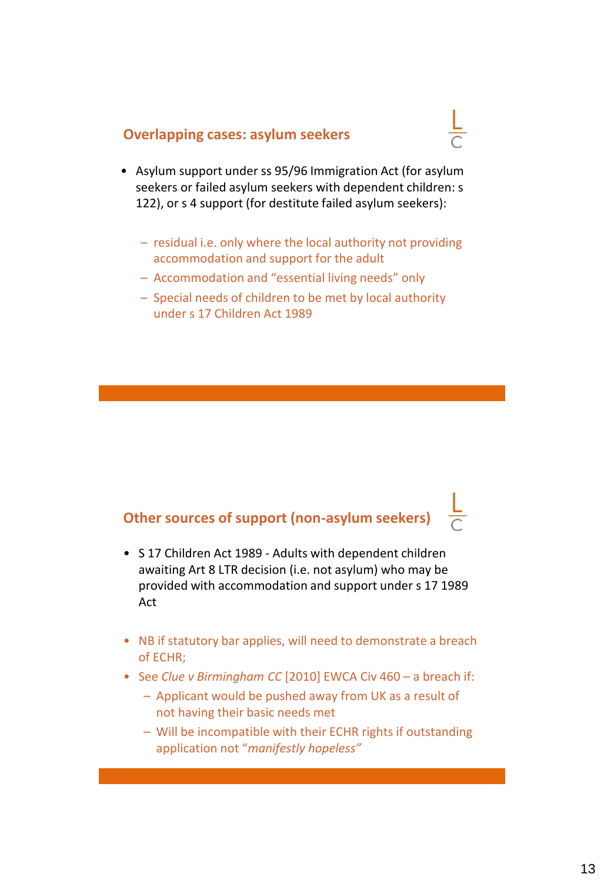### **Overlapping cases: asylum seekers**



- Asylum support under ss 95/96 Immigration Act (for asylum seekers or failed asylum seekers with dependent children: s 122), or s 4 support (for destitute failed asylum seekers):
	- residual i.e. only where the local authority not providing accommodation and support for the adult
	- Accommodation and "essential living needs" only
	- Special needs of children to be met by local authority under s 17 Children Act 1989

## **Other sources of support (non-asylum seekers)**

- S 17 Children Act 1989 Adults with dependent children awaiting Art 8 LTR decision (i.e. not asylum) who may be provided with accommodation and support under s 17 1989 Act
- NB if statutory bar applies, will need to demonstrate a breach of ECHR;
- See *Clue v Birmingham CC* [2010] EWCA Civ 460 a breach if:
	- Applicant would be pushed away from UK as a result of not having their basic needs met
	- Will be incompatible with their ECHR rights if outstanding application not "*manifestly hopeless"*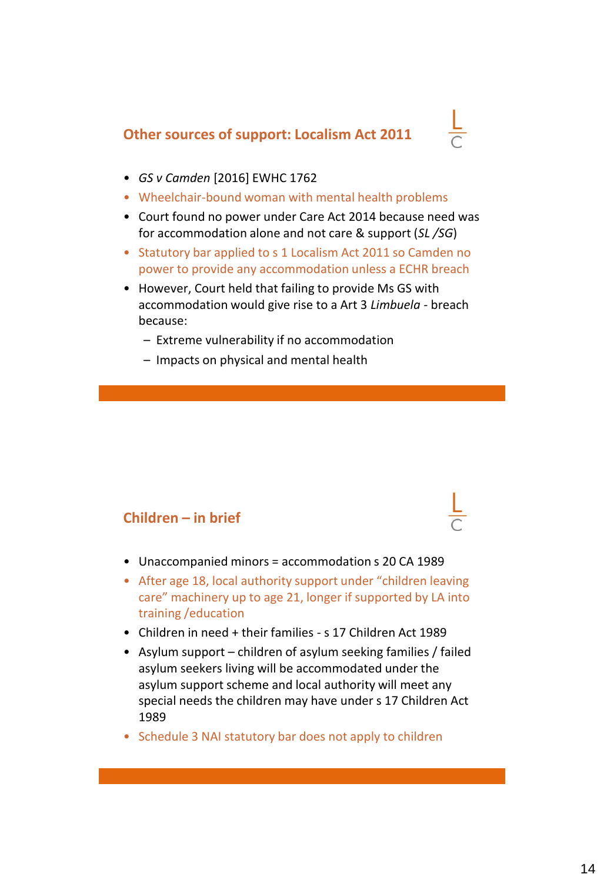# **Other sources of support: Localism Act 2011**



- *GS v Camden* [2016] EWHC 1762
- Wheelchair-bound woman with mental health problems
- Court found no power under Care Act 2014 because need was for accommodation alone and not care & support (*SL /SG*)
- Statutory bar applied to s 1 Localism Act 2011 so Camden no power to provide any accommodation unless a ECHR breach
- However, Court held that failing to provide Ms GS with accommodation would give rise to a Art 3 *Limbuela -* breach because:
	- Extreme vulnerability if no accommodation
	- Impacts on physical and mental health

### **Children – in brief**

- 
- Unaccompanied minors = accommodation s 20 CA 1989
- After age 18, local authority support under "children leaving care" machinery up to age 21, longer if supported by LA into training /education
- Children in need + their families s 17 Children Act 1989
- Asylum support children of asylum seeking families / failed asylum seekers living will be accommodated under the asylum support scheme and local authority will meet any special needs the children may have under s 17 Children Act 1989
- Schedule 3 NAI statutory bar does not apply to children